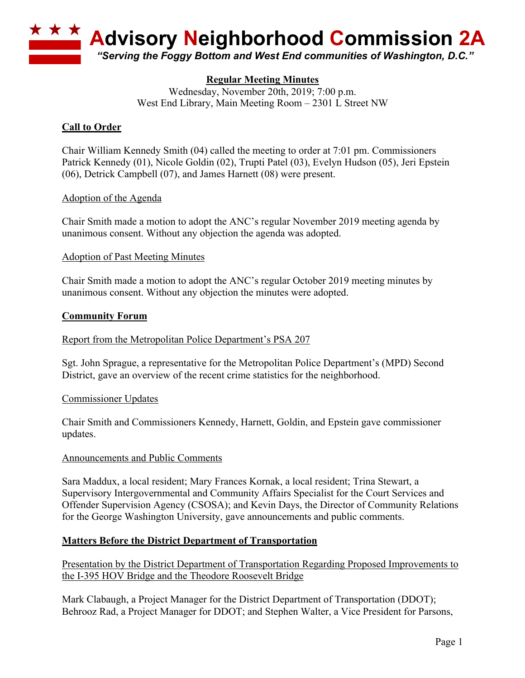

# **Regular Meeting Minutes**

Wednesday, November 20th, 2019; 7:00 p.m. West End Library, Main Meeting Room – 2301 L Street NW

## **Call to Order**

Chair William Kennedy Smith (04) called the meeting to order at 7:01 pm. Commissioners Patrick Kennedy (01), Nicole Goldin (02), Trupti Patel (03), Evelyn Hudson (05), Jeri Epstein (06), Detrick Campbell (07), and James Harnett (08) were present.

### Adoption of the Agenda

Chair Smith made a motion to adopt the ANC's regular November 2019 meeting agenda by unanimous consent. Without any objection the agenda was adopted.

#### Adoption of Past Meeting Minutes

Chair Smith made a motion to adopt the ANC's regular October 2019 meeting minutes by unanimous consent. Without any objection the minutes were adopted.

#### **Community Forum**

#### Report from the Metropolitan Police Department's PSA 207

Sgt. John Sprague, a representative for the Metropolitan Police Department's (MPD) Second District, gave an overview of the recent crime statistics for the neighborhood.

#### Commissioner Updates

Chair Smith and Commissioners Kennedy, Harnett, Goldin, and Epstein gave commissioner updates.

#### Announcements and Public Comments

Sara Maddux, a local resident; Mary Frances Kornak, a local resident; Trina Stewart, a Supervisory Intergovernmental and Community Affairs Specialist for the Court Services and Offender Supervision Agency (CSOSA); and Kevin Days, the Director of Community Relations for the George Washington University, gave announcements and public comments.

### **Matters Before the District Department of Transportation**

Presentation by the District Department of Transportation Regarding Proposed Improvements to the I-395 HOV Bridge and the Theodore Roosevelt Bridge

Mark Clabaugh, a Project Manager for the District Department of Transportation (DDOT); Behrooz Rad, a Project Manager for DDOT; and Stephen Walter, a Vice President for Parsons,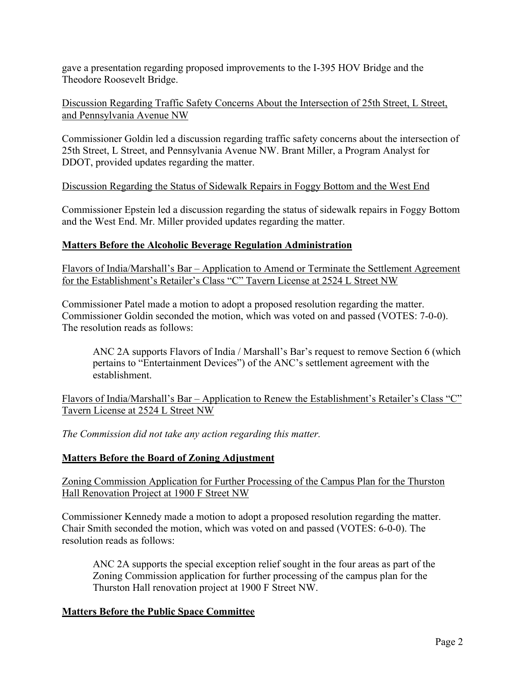gave a presentation regarding proposed improvements to the I-395 HOV Bridge and the Theodore Roosevelt Bridge.

Discussion Regarding Traffic Safety Concerns About the Intersection of 25th Street, L Street, and Pennsylvania Avenue NW

Commissioner Goldin led a discussion regarding traffic safety concerns about the intersection of 25th Street, L Street, and Pennsylvania Avenue NW. Brant Miller, a Program Analyst for DDOT, provided updates regarding the matter.

Discussion Regarding the Status of Sidewalk Repairs in Foggy Bottom and the West End

Commissioner Epstein led a discussion regarding the status of sidewalk repairs in Foggy Bottom and the West End. Mr. Miller provided updates regarding the matter.

### **Matters Before the Alcoholic Beverage Regulation Administration**

Flavors of India/Marshall's Bar – Application to Amend or Terminate the Settlement Agreement for the Establishment's Retailer's Class "C" Tavern License at 2524 L Street NW

Commissioner Patel made a motion to adopt a proposed resolution regarding the matter. Commissioner Goldin seconded the motion, which was voted on and passed (VOTES: 7-0-0). The resolution reads as follows:

ANC 2A supports Flavors of India / Marshall's Bar's request to remove Section 6 (which pertains to "Entertainment Devices") of the ANC's settlement agreement with the establishment.

Flavors of India/Marshall's Bar – Application to Renew the Establishment's Retailer's Class "C" Tavern License at 2524 L Street NW

*The Commission did not take any action regarding this matter.*

## **Matters Before the Board of Zoning Adjustment**

Zoning Commission Application for Further Processing of the Campus Plan for the Thurston Hall Renovation Project at 1900 F Street NW

Commissioner Kennedy made a motion to adopt a proposed resolution regarding the matter. Chair Smith seconded the motion, which was voted on and passed (VOTES: 6-0-0). The resolution reads as follows:

ANC 2A supports the special exception relief sought in the four areas as part of the Zoning Commission application for further processing of the campus plan for the Thurston Hall renovation project at 1900 F Street NW.

## **Matters Before the Public Space Committee**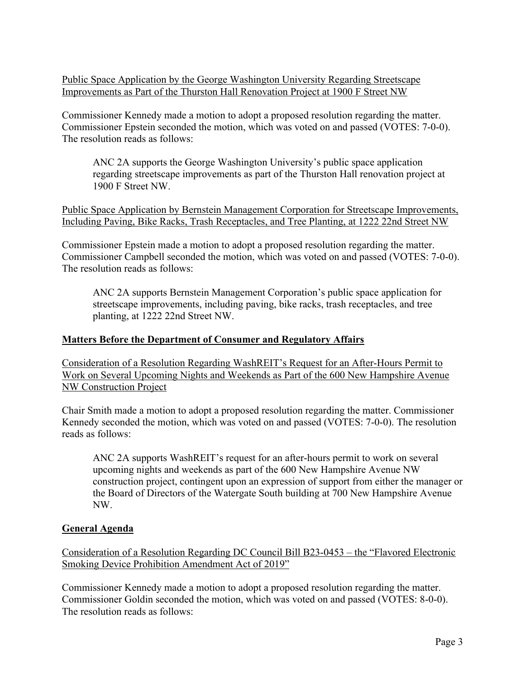Public Space Application by the George Washington University Regarding Streetscape Improvements as Part of the Thurston Hall Renovation Project at 1900 F Street NW

Commissioner Kennedy made a motion to adopt a proposed resolution regarding the matter. Commissioner Epstein seconded the motion, which was voted on and passed (VOTES: 7-0-0). The resolution reads as follows:

ANC 2A supports the George Washington University's public space application regarding streetscape improvements as part of the Thurston Hall renovation project at 1900 F Street NW.

Public Space Application by Bernstein Management Corporation for Streetscape Improvements, Including Paving, Bike Racks, Trash Receptacles, and Tree Planting, at 1222 22nd Street NW

Commissioner Epstein made a motion to adopt a proposed resolution regarding the matter. Commissioner Campbell seconded the motion, which was voted on and passed (VOTES: 7-0-0). The resolution reads as follows:

ANC 2A supports Bernstein Management Corporation's public space application for streetscape improvements, including paving, bike racks, trash receptacles, and tree planting, at 1222 22nd Street NW.

## **Matters Before the Department of Consumer and Regulatory Affairs**

Consideration of a Resolution Regarding WashREIT's Request for an After-Hours Permit to Work on Several Upcoming Nights and Weekends as Part of the 600 New Hampshire Avenue NW Construction Project

Chair Smith made a motion to adopt a proposed resolution regarding the matter. Commissioner Kennedy seconded the motion, which was voted on and passed (VOTES: 7-0-0). The resolution reads as follows:

ANC 2A supports WashREIT's request for an after-hours permit to work on several upcoming nights and weekends as part of the 600 New Hampshire Avenue NW construction project, contingent upon an expression of support from either the manager or the Board of Directors of the Watergate South building at 700 New Hampshire Avenue NW.

### **General Agenda**

Consideration of a Resolution Regarding DC Council Bill B23-0453 – the "Flavored Electronic Smoking Device Prohibition Amendment Act of 2019"

Commissioner Kennedy made a motion to adopt a proposed resolution regarding the matter. Commissioner Goldin seconded the motion, which was voted on and passed (VOTES: 8-0-0). The resolution reads as follows: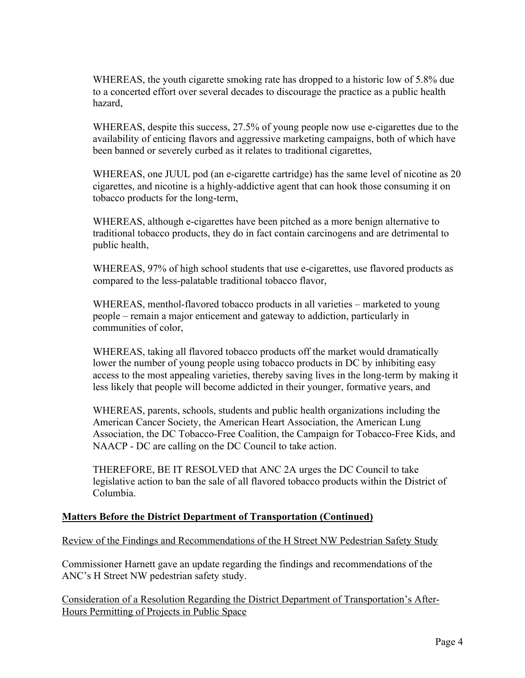WHEREAS, the youth cigarette smoking rate has dropped to a historic low of 5.8% due to a concerted effort over several decades to discourage the practice as a public health hazard,

WHEREAS, despite this success, 27.5% of young people now use e-cigarettes due to the availability of enticing flavors and aggressive marketing campaigns, both of which have been banned or severely curbed as it relates to traditional cigarettes,

WHEREAS, one JUUL pod (an e-cigarette cartridge) has the same level of nicotine as 20 cigarettes, and nicotine is a highly-addictive agent that can hook those consuming it on tobacco products for the long-term,

WHEREAS, although e-cigarettes have been pitched as a more benign alternative to traditional tobacco products, they do in fact contain carcinogens and are detrimental to public health,

WHEREAS, 97% of high school students that use e-cigarettes, use flavored products as compared to the less-palatable traditional tobacco flavor,

WHEREAS, menthol-flavored tobacco products in all varieties – marketed to young people – remain a major enticement and gateway to addiction, particularly in communities of color,

WHEREAS, taking all flavored tobacco products off the market would dramatically lower the number of young people using tobacco products in DC by inhibiting easy access to the most appealing varieties, thereby saving lives in the long-term by making it less likely that people will become addicted in their younger, formative years, and

WHEREAS, parents, schools, students and public health organizations including the American Cancer Society, the American Heart Association, the American Lung Association, the DC Tobacco-Free Coalition, the Campaign for Tobacco-Free Kids, and NAACP - DC are calling on the DC Council to take action.

THEREFORE, BE IT RESOLVED that ANC 2A urges the DC Council to take legislative action to ban the sale of all flavored tobacco products within the District of Columbia.

## **Matters Before the District Department of Transportation (Continued)**

### Review of the Findings and Recommendations of the H Street NW Pedestrian Safety Study

Commissioner Harnett gave an update regarding the findings and recommendations of the ANC's H Street NW pedestrian safety study.

Consideration of a Resolution Regarding the District Department of Transportation's After-Hours Permitting of Projects in Public Space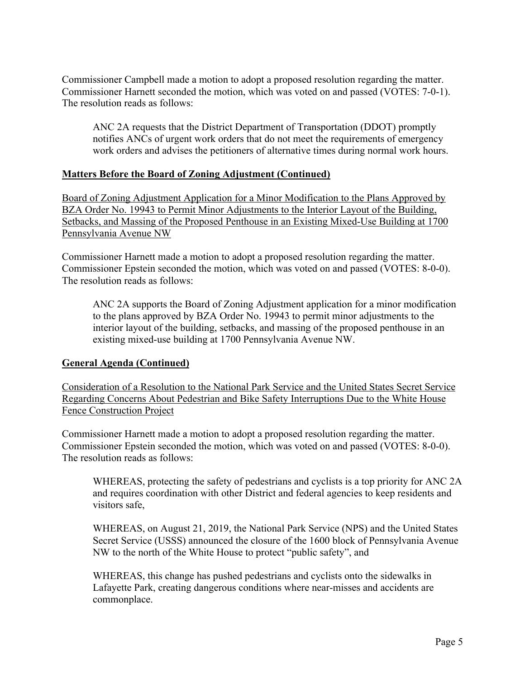Commissioner Campbell made a motion to adopt a proposed resolution regarding the matter. Commissioner Harnett seconded the motion, which was voted on and passed (VOTES: 7-0-1). The resolution reads as follows:

ANC 2A requests that the District Department of Transportation (DDOT) promptly notifies ANCs of urgent work orders that do not meet the requirements of emergency work orders and advises the petitioners of alternative times during normal work hours.

## **Matters Before the Board of Zoning Adjustment (Continued)**

Board of Zoning Adjustment Application for a Minor Modification to the Plans Approved by BZA Order No. 19943 to Permit Minor Adjustments to the Interior Layout of the Building, Setbacks, and Massing of the Proposed Penthouse in an Existing Mixed-Use Building at 1700 Pennsylvania Avenue NW

Commissioner Harnett made a motion to adopt a proposed resolution regarding the matter. Commissioner Epstein seconded the motion, which was voted on and passed (VOTES: 8-0-0). The resolution reads as follows:

ANC 2A supports the Board of Zoning Adjustment application for a minor modification to the plans approved by BZA Order No. 19943 to permit minor adjustments to the interior layout of the building, setbacks, and massing of the proposed penthouse in an existing mixed-use building at 1700 Pennsylvania Avenue NW.

### **General Agenda (Continued)**

Consideration of a Resolution to the National Park Service and the United States Secret Service Regarding Concerns About Pedestrian and Bike Safety Interruptions Due to the White House Fence Construction Project

Commissioner Harnett made a motion to adopt a proposed resolution regarding the matter. Commissioner Epstein seconded the motion, which was voted on and passed (VOTES: 8-0-0). The resolution reads as follows:

WHEREAS, protecting the safety of pedestrians and cyclists is a top priority for ANC 2A and requires coordination with other District and federal agencies to keep residents and visitors safe,

WHEREAS, on August 21, 2019, the National Park Service (NPS) and the United States Secret Service (USSS) announced the closure of the 1600 block of Pennsylvania Avenue NW to the north of the White House to protect "public safety", and

WHEREAS, this change has pushed pedestrians and cyclists onto the sidewalks in Lafayette Park, creating dangerous conditions where near-misses and accidents are commonplace.